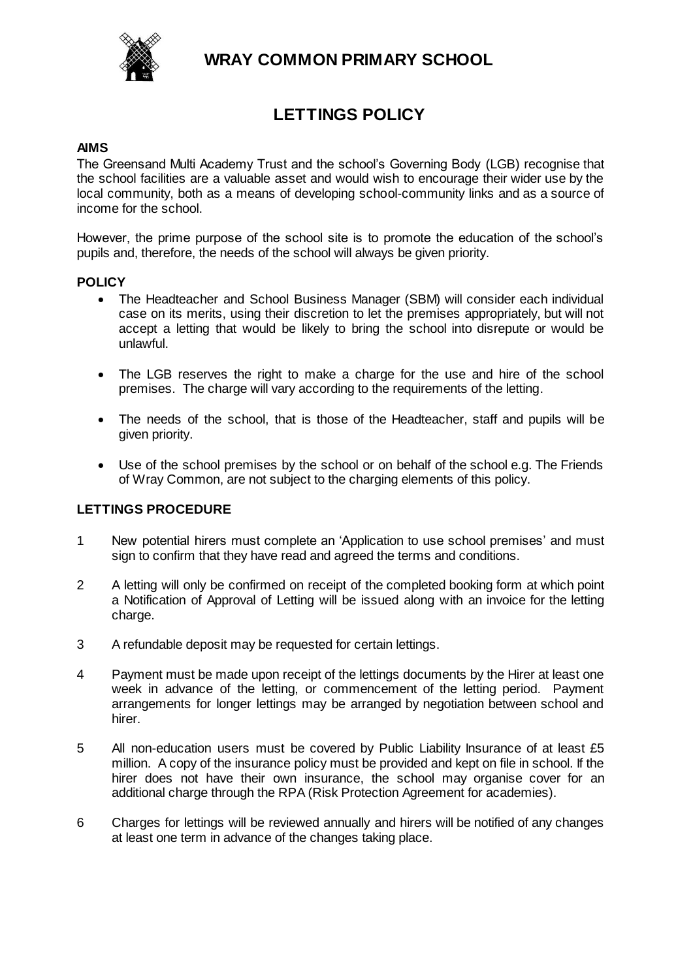

**WRAY COMMON PRIMARY SCHOOL**

# **LETTINGS POLICY**

### **AIMS**

The Greensand Multi Academy Trust and the school's Governing Body (LGB) recognise that the school facilities are a valuable asset and would wish to encourage their wider use by the local community, both as a means of developing school-community links and as a source of income for the school.

However, the prime purpose of the school site is to promote the education of the school's pupils and, therefore, the needs of the school will always be given priority.

#### **POLICY**

- The Headteacher and School Business Manager (SBM) will consider each individual case on its merits, using their discretion to let the premises appropriately, but will not accept a letting that would be likely to bring the school into disrepute or would be unlawful.
- The LGB reserves the right to make a charge for the use and hire of the school premises. The charge will vary according to the requirements of the letting.
- The needs of the school, that is those of the Headteacher, staff and pupils will be given priority.
- Use of the school premises by the school or on behalf of the school e.g. The Friends of Wray Common, are not subject to the charging elements of this policy.

#### **LETTINGS PROCEDURE**

- 1 New potential hirers must complete an 'Application to use school premises' and must sign to confirm that they have read and agreed the terms and conditions.
- 2 A letting will only be confirmed on receipt of the completed booking form at which point a Notification of Approval of Letting will be issued along with an invoice for the letting charge.
- 3 A refundable deposit may be requested for certain lettings.
- 4 Payment must be made upon receipt of the lettings documents by the Hirer at least one week in advance of the letting, or commencement of the letting period. Payment arrangements for longer lettings may be arranged by negotiation between school and hirer.
- 5 All non-education users must be covered by Public Liability Insurance of at least £5 million. A copy of the insurance policy must be provided and kept on file in school. If the hirer does not have their own insurance, the school may organise cover for an additional charge through the RPA (Risk Protection Agreement for academies).
- 6 Charges for lettings will be reviewed annually and hirers will be notified of any changes at least one term in advance of the changes taking place.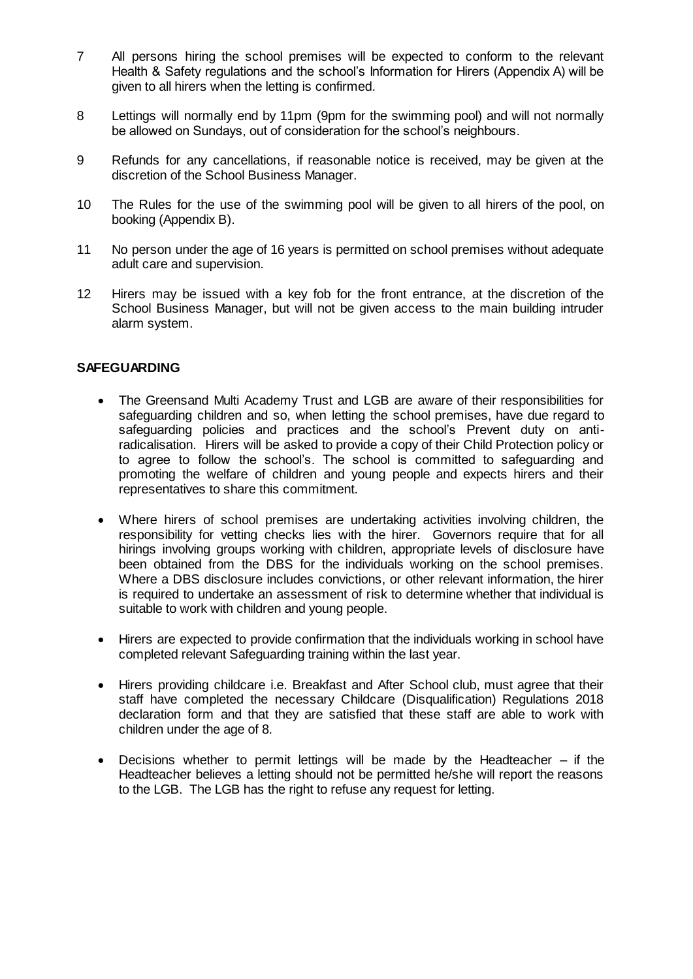- 7 All persons hiring the school premises will be expected to conform to the relevant Health & Safety regulations and the school's Information for Hirers (Appendix A) will be given to all hirers when the letting is confirmed.
- 8 Lettings will normally end by 11pm (9pm for the swimming pool) and will not normally be allowed on Sundays, out of consideration for the school's neighbours.
- 9 Refunds for any cancellations, if reasonable notice is received, may be given at the discretion of the School Business Manager.
- 10 The Rules for the use of the swimming pool will be given to all hirers of the pool, on booking (Appendix B).
- 11 No person under the age of 16 years is permitted on school premises without adequate adult care and supervision.
- 12 Hirers may be issued with a key fob for the front entrance, at the discretion of the School Business Manager, but will not be given access to the main building intruder alarm system.

#### **SAFEGUARDING**

- The Greensand Multi Academy Trust and LGB are aware of their responsibilities for safeguarding children and so, when letting the school premises, have due regard to safeguarding policies and practices and the school's Prevent duty on antiradicalisation. Hirers will be asked to provide a copy of their Child Protection policy or to agree to follow the school's. The school is committed to safeguarding and promoting the welfare of children and young people and expects hirers and their representatives to share this commitment.
- Where hirers of school premises are undertaking activities involving children, the responsibility for vetting checks lies with the hirer. Governors require that for all hirings involving groups working with children, appropriate levels of disclosure have been obtained from the DBS for the individuals working on the school premises. Where a DBS disclosure includes convictions, or other relevant information, the hirer is required to undertake an assessment of risk to determine whether that individual is suitable to work with children and young people.
- Hirers are expected to provide confirmation that the individuals working in school have completed relevant Safeguarding training within the last year.
- Hirers providing childcare i.e. Breakfast and After School club, must agree that their staff have completed the necessary Childcare (Disqualification) Regulations 2018 declaration form and that they are satisfied that these staff are able to work with children under the age of 8.
- Decisions whether to permit lettings will be made by the Headteacher  $-$  if the Headteacher believes a letting should not be permitted he/she will report the reasons to the LGB. The LGB has the right to refuse any request for letting.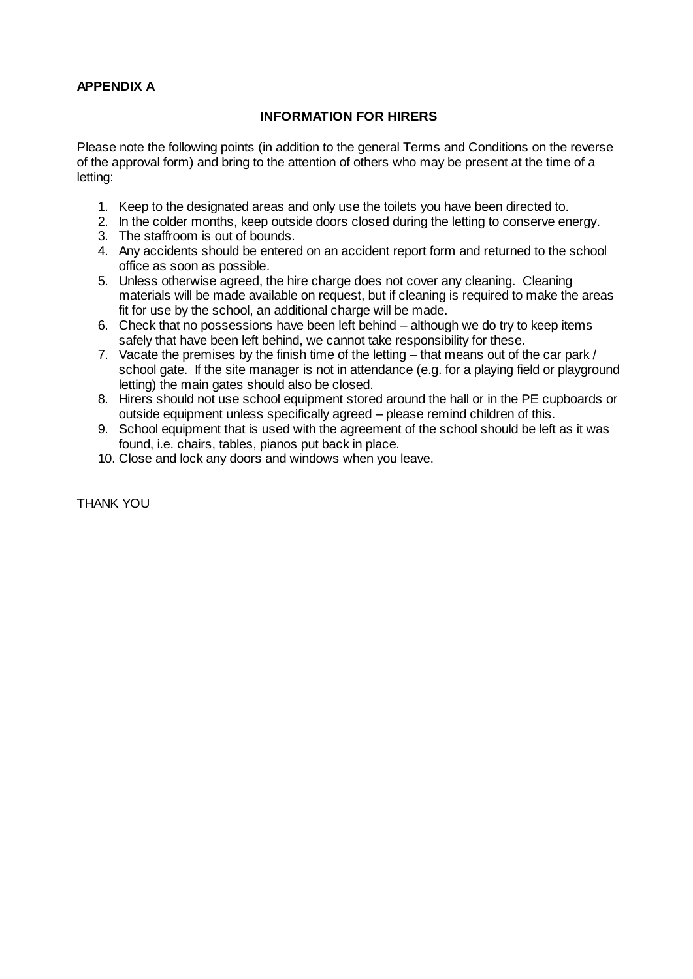## **APPENDIX A**

## **INFORMATION FOR HIRERS**

Please note the following points (in addition to the general Terms and Conditions on the reverse of the approval form) and bring to the attention of others who may be present at the time of a letting:

- 1. Keep to the designated areas and only use the toilets you have been directed to.
- 2. In the colder months, keep outside doors closed during the letting to conserve energy.
- 3. The staffroom is out of bounds.
- 4. Any accidents should be entered on an accident report form and returned to the school office as soon as possible.
- 5. Unless otherwise agreed, the hire charge does not cover any cleaning. Cleaning materials will be made available on request, but if cleaning is required to make the areas fit for use by the school, an additional charge will be made.
- 6. Check that no possessions have been left behind although we do try to keep items safely that have been left behind, we cannot take responsibility for these.
- 7. Vacate the premises by the finish time of the letting that means out of the car park / school gate. If the site manager is not in attendance (e.g. for a playing field or playground letting) the main gates should also be closed.
- 8. Hirers should not use school equipment stored around the hall or in the PE cupboards or outside equipment unless specifically agreed – please remind children of this.
- 9. School equipment that is used with the agreement of the school should be left as it was found, i.e. chairs, tables, pianos put back in place.
- 10. Close and lock any doors and windows when you leave.

THANK YOU